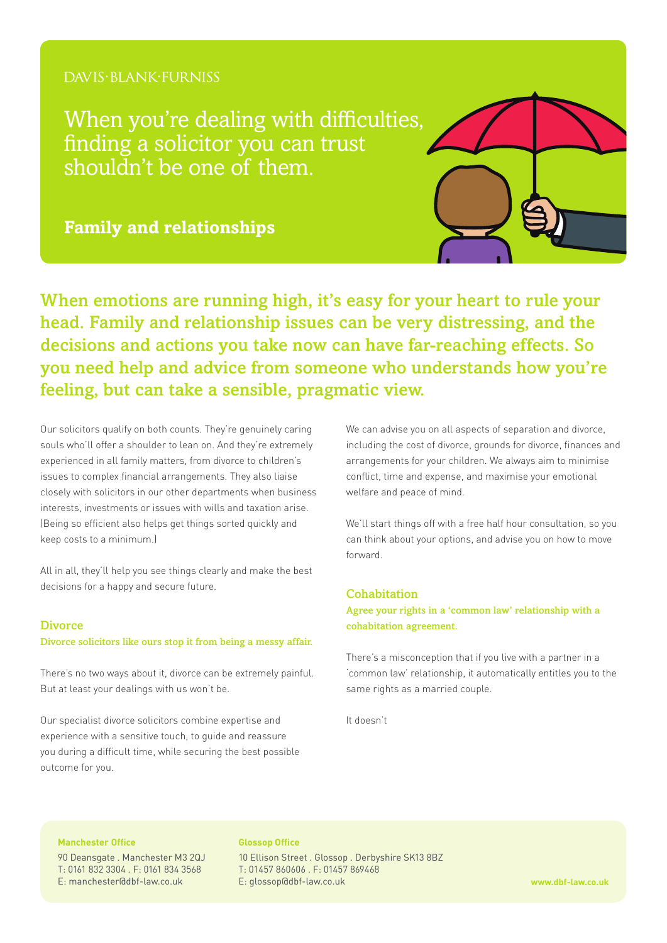# DAVIS·BLANK·FURNISS

When you're dealing with difficulties, finding a solicitor you can trust shouldn't be one of them.

**Family and relationships**

When emotions are running high, it's easy for your heart to rule your head. Family and relationship issues can be very distressing, and the decisions and actions you take now can have far-reaching effects. So you need help and advice from someone who understands how you're feeling, but can take a sensible, pragmatic view.

Our solicitors qualify on both counts. They're genuinely caring souls who'll offer a shoulder to lean on. And they're extremely experienced in all family matters, from divorce to children's issues to complex financial arrangements. They also liaise closely with solicitors in our other departments when business interests, investments or issues with wills and taxation arise. (Being so efficient also helps get things sorted quickly and keep costs to a minimum.)

All in all, they'll help you see things clearly and make the best decisions for a happy and secure future.

#### **Divorce**

#### Divorce solicitors like ours stop it from being a messy affair.

There's no two ways about it, divorce can be extremely painful. But at least your dealings with us won't be.

Our specialist divorce solicitors combine expertise and experience with a sensitive touch, to guide and reassure you during a difficult time, while securing the best possible outcome for you.

We can advise you on all aspects of separation and divorce, including the cost of divorce, grounds for divorce, finances and arrangements for your children. We always aim to minimise conflict, time and expense, and maximise your emotional welfare and peace of mind.

We'll start things off with a free half hour consultation, so you can think about your options, and advise you on how to move forward.

### Cohabitation

Agree your rights in a 'common law' relationship with a cohabitation agreement.

There's a misconception that if you live with a partner in a 'common law' relationship, it automatically entitles you to the same rights as a married couple.

It doesn't

## **Manchester Office**

90 Deansgate . Manchester M3 2QJ T: 0161 832 3304 . F: 0161 834 3568 E: manchester@dbf-law.co.uk

#### **Glossop Office**

10 Ellison Street . Glossop . Derbyshire SK13 8BZ T: 01457 860606 . F: 01457 869468 E: glossop@dbf-law.co.uk **www.dbf-law.co.uk**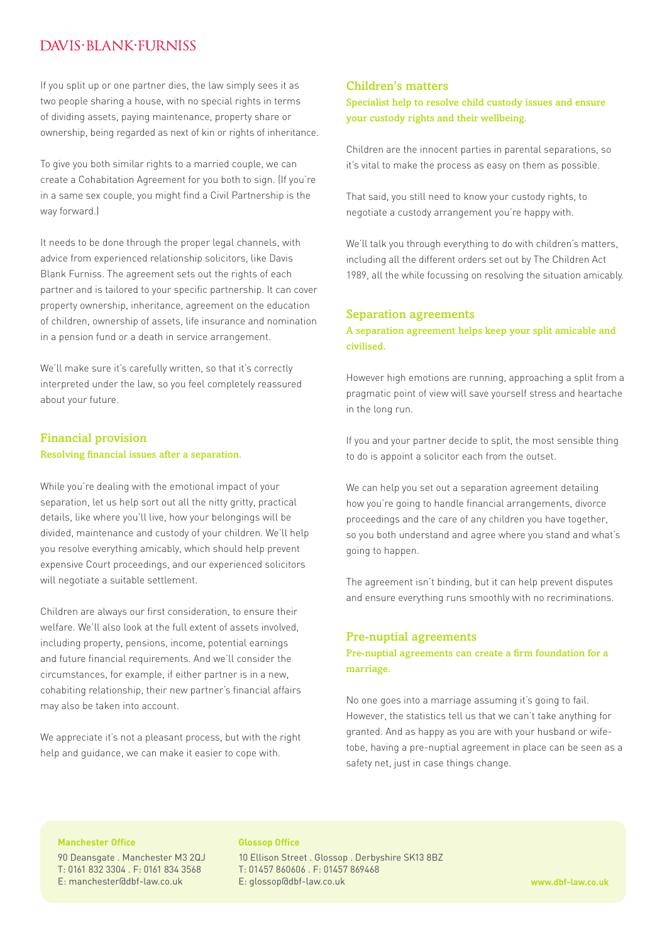# DAVIS·BI ANK·FURNISS

If you split up or one partner dies, the law simply sees it as two people sharing a house, with no special rights in terms of dividing assets, paying maintenance, property share or ownership, being regarded as next of kin or rights of inheritance.

To give you both similar rights to a married couple, we can create a Cohabitation Agreement for you both to sign. (If you're in a same sex couple, you might find a Civil Partnership is the way forward.)

It needs to be done through the proper legal channels, with advice from experienced relationship solicitors, like Davis Blank Furniss. The agreement sets out the rights of each partner and is tailored to your specific partnership. It can cover property ownership, inheritance, agreement on the education of children, ownership of assets, life insurance and nomination in a pension fund or a death in service arrangement.

We'll make sure it's carefully written, so that it's correctly interpreted under the law, so you feel completely reassured about your future.

# Financial provision Resolving financial issues after a separation.

While you're dealing with the emotional impact of your separation, let us help sort out all the nitty gritty, practical details, like where you'll live, how your belongings will be divided, maintenance and custody of your children. We'll help you resolve everything amicably, which should help prevent expensive Court proceedings, and our experienced solicitors will negotiate a suitable settlement.

Children are always our first consideration, to ensure their welfare. We'll also look at the full extent of assets involved, including property, pensions, income, potential earnings and future financial requirements. And we'll consider the circumstances, for example, if either partner is in a new, cohabiting relationship, their new partner's financial affairs may also be taken into account.

We appreciate it's not a pleasant process, but with the right help and guidance, we can make it easier to cope with.

## Children's matters

Specialist help to resolve child custody issues and ensure your custody rights and their wellbeing.

Children are the innocent parties in parental separations, so it's vital to make the process as easy on them as possible.

That said, you still need to know your custody rights, to negotiate a custody arrangement you're happy with.

We'll talk you through everything to do with children's matters, including all the different orders set out by The Children Act 1989, all the while focussing on resolving the situation amicably.

### Separation agreements

## A separation agreement helps keep your split amicable and civilised.

However high emotions are running, approaching a split from a pragmatic point of view will save yourself stress and heartache in the long run.

If you and your partner decide to split, the most sensible thing to do is appoint a solicitor each from the outset.

We can help you set out a separation agreement detailing how you're going to handle financial arrangements, divorce proceedings and the care of any children you have together, so you both understand and agree where you stand and what's going to happen.

The agreement isn't binding, but it can help prevent disputes and ensure everything runs smoothly with no recriminations.

### Pre-nuptial agreements

Pre-nuptial agreements can create a firm foundation for a marriage.

No one goes into a marriage assuming it's going to fail. However, the statistics tell us that we can't take anything for granted. And as happy as you are with your husband or wifetobe, having a pre-nuptial agreement in place can be seen as a safety net, just in case things change.

## **Manchester Office**

90 Deansgate . Manchester M3 2QJ T: 0161 832 3304 . F: 0161 834 3568 E: manchester@dbf-law.co.uk

#### **Glossop Office**

10 Ellison Street . Glossop . Derbyshire SK13 8BZ T: 01457 860606 . F: 01457 869468 E: glossop@dbf-law.co.uk **www.dbf-law.co.uk**